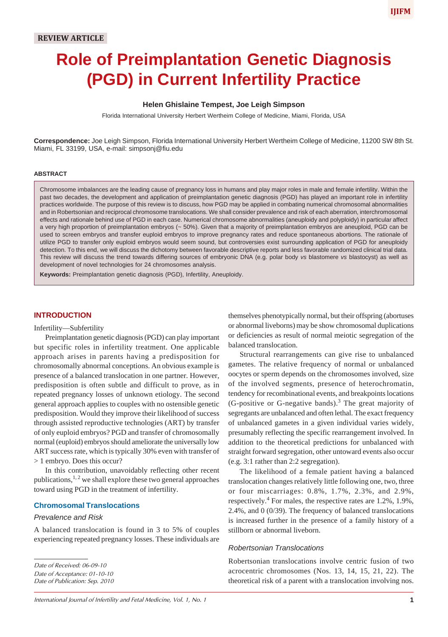# **Role of Preimplantation Genetic Diagnosis (PGD) in Current Infertility Practice**

#### **Helen Ghislaine Tempest, Joe Leigh Simpson**

Florida International University Herbert Wertheim College of Medicine, Miami, Florida, USA

**Correspondence:** Joe Leigh Simpson, Florida International University Herbert Wertheim College of Medicine, 11200 SW 8th St. Miami, FL 33199, USA, e-mail: simpsonj@fiu.edu

#### **ABSTRACT**

Chromosome imbalances are the leading cause of pregnancy loss in humans and play major roles in male and female infertility. Within the past two decades, the development and application of preimplantation genetic diagnosis (PGD) has played an important role in infertility practices worldwide. The purpose of this review is to discuss, how PGD may be applied in combating numerical chromosomal abnormalities and in Robertsonian and reciprocal chromosome translocations. We shall consider prevalence and risk of each aberration, interchromosomal effects and rationale behind use of PGD in each case. Numerical chromosome abnormalities (aneuploidy and polyploidy) in particular affect a very high proportion of preimplantation embryos (~ 50%). Given that a majority of preimplantation embryos are aneuploid, PGD can be used to screen embryos and transfer euploid embryos to improve pregnancy rates and reduce spontaneous abortions. The rationale of utilize PGD to transfer only euploid embryos would seem sound, but controversies exist surrounding application of PGD for aneuploidy detection. To this end, we will discuss the dichotomy between favorable descriptive reports and less favorable randomized clinical trial data. This review will discuss the trend towards differing sources of embryonic DNA (e.g. polar body *vs* blastomere *vs* blastocyst) as well as development of novel technologies for 24 chromosomes analysis.

**Keywords:** Preimplantation genetic diagnosis (PGD), Infertility, Aneuploidy.

### **INTRODUCTION**

#### Infertility—Subfertility

Preimplantation genetic diagnosis (PGD) can play important but specific roles in infertility treatment. One applicable approach arises in parents having a predisposition for chromosomally abnormal conceptions. An obvious example is presence of a balanced translocation in one partner. However, predisposition is often subtle and difficult to prove, as in repeated pregnancy losses of unknown etiology. The second general approach applies to couples with no ostensible genetic predisposition. Would they improve their likelihood of success through assisted reproductive technologies (ART) by transfer of only euploid embryos? PGD and transfer of chromosomally normal (euploid) embryos should ameliorate the universally low ART success rate, which is typically 30% even with transfer of > 1 embryo. Does this occur?

In this contribution, unavoidably reflecting other recent publications,  $^{1,2}$  we shall explore these two general approaches toward using PGD in the treatment of infertility.

#### **Chromosomal Translocations**

#### *Prevalence and Risk*

A balanced translocation is found in 3 to 5% of couples experiencing repeated pregnancy losses. These individuals are

*Date of Acceptance: 01-10-10*

*Date of Publication: Sep. 2010*

themselves phenotypically normal, but their offspring (abortuses or abnormal liveborns) may be show chromosomal duplications or deficiencies as result of normal meiotic segregation of the balanced translocation.

Structural rearrangements can give rise to unbalanced gametes. The relative frequency of normal or unbalanced oocytes or sperm depends on the chromosomes involved, size of the involved segments, presence of heterochromatin, tendency for recombinational events, and breakpoints locations (G-positive or G-negative bands).<sup>3</sup> The great majority of segregants are unbalanced and often lethal. The exact frequency of unbalanced gametes in a given individual varies widely, presumably reflecting the specific rearrangement involved. In addition to the theoretical predictions for unbalanced with straight forward segregation, other untoward events also occur (e.g. 3:1 rather than 2:2 segregation).

The likelihood of a female patient having a balanced translocation changes relatively little following one, two, three or four miscarriages: 0.8%, 1.7%, 2.3%, and 2.9%, respectively.<sup>4</sup> For males, the respective rates are 1.2%, 1.9%, 2.4%, and 0 (0/39). The frequency of balanced translocations is increased further in the presence of a family history of a stillborn or abnormal liveborn.

#### *Robertsonian Translocations*

Robertsonian translocations involve centric fusion of two acrocentric chromosomes (Nos. 13, 14, 15, 21, 22). The theoretical risk of a parent with a translocation involving nos.

**IJIFM**

*Date of Received: 06-09-10*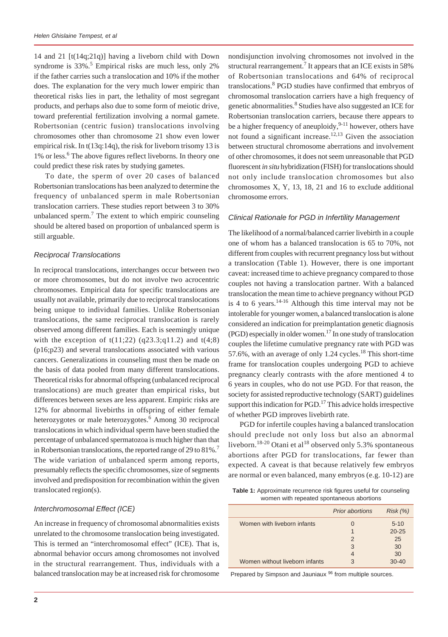14 and 21 [t(14q;21q)] having a liveborn child with Down syndrome is  $33\%$ .<sup>5</sup> Empirical risks are much less, only 2% if the father carries such a translocation and 10% if the mother does. The explanation for the very much lower empiric than theoretical risks lies in part, the lethality of most segregant products, and perhaps also due to some form of meiotic drive, toward preferential fertilization involving a normal gamete. Robertsonian (centric fusion) translocations involving chromosomes other than chromosome 21 show even lower empirical risk. In t(13q:14q), the risk for liveborn trisomy 13 is 1% or less.<sup>6</sup> The above figures reflect liveborns. In theory one could predict these risk rates by studying gametes.

To date, the sperm of over 20 cases of balanced Robertsonian translocations has been analyzed to determine the frequency of unbalanced sperm in male Robertsonian translocation carriers. These studies report between 3 to 30% unbalanced sperm.<sup>7</sup> The extent to which empiric counseling should be altered based on proportion of unbalanced sperm is still arguable.

#### *Reciprocal Translocations*

In reciprocal translocations, interchanges occur between two or more chromosomes, but do not involve two acrocentric chromosomes. Empirical data for specific translocations are usually not available, primarily due to reciprocal translocations being unique to individual families. Unlike Robertsonian translocations, the same reciprocal translocation is rarely observed among different families. Each is seemingly unique with the exception of  $t(11;22)$  (q23.3;q11.2) and  $t(4;8)$ (p16;p23) and several translocations associated with various cancers. Generalizations in counseling must then be made on the basis of data pooled from many different translocations. Theoretical risks for abnormal offspring (unbalanced reciprocal translocations) are much greater than empirical risks, but differences between sexes are less apparent. Empiric risks are 12% for abnormal livebirths in offspring of either female heterozygotes or male heterozygotes.<sup>6</sup> Among 30 reciprocal translocations in which individual sperm have been studied the percentage of unbalanced spermatozoa is much higher than that in Robertsonian translocations, the reported range of 29 to  $81\%$ .<sup>7</sup> The wide variation of unbalanced sperm among reports, presumably reflects the specific chromosomes, size of segments involved and predisposition for recombination within the given translocated region(s).

#### *Interchromosomal Effect (ICE)*

An increase in frequency of chromosomal abnormalities exists unrelated to the chromosome translocation being investigated. This is termed an "interchromosomal effect" (ICE). That is, abnormal behavior occurs among chromosomes not involved in the structural rearrangement. Thus, individuals with a balanced translocation may be at increased risk for chromosome

nondisjunction involving chromosomes not involved in the structural rearrangement.<sup>7</sup> It appears that an ICE exists in 58% of Robertsonian translocations and 64% of reciprocal translocations.<sup>8</sup> PGD studies have confirmed that embryos of chromosomal translocation carriers have a high frequency of genetic abnormalities.<sup>8</sup> Studies have also suggested an ICE for Robertsonian translocation carriers, because there appears to be a higher frequency of aneuploidy,  $9-11$  however, others have not found a significant increase.<sup>12,13</sup> Given the association between structural chromosome aberrations and involvement of other chromosomes, it does not seem unreasonable that PGD fluorescent *in situ* hybridization (FISH) for translocations should not only include translocation chromosomes but also chromosomes X, Y, 13, 18, 21 and 16 to exclude additional chromosome errors.

#### *Clinical Rationale for PGD in Infertility Management*

The likelihood of a normal/balanced carrier livebirth in a couple one of whom has a balanced translocation is 65 to 70%, not different from couples with recurrent pregnancy loss but without a translocation (Table 1). However, there is one important caveat: increased time to achieve pregnancy compared to those couples not having a translocation partner. With a balanced translocation the mean time to achieve pregnancy without PGD is 4 to 6 years. $14-16$  Although this time interval may not be intolerable for younger women, a balanced translocation is alone considered an indication for preimplantation genetic diagnosis (PGD) especially in older women.17 In one study of translocation couples the lifetime cumulative pregnancy rate with PGD was 57.6%, with an average of only 1.24 cycles.<sup>18</sup> This short-time frame for translocation couples undergoing PGD to achieve pregnancy clearly contrasts with the afore mentioned 4 to 6 years in couples, who do not use PGD. For that reason, the society for assisted reproductive technology (SART) guidelines support this indication for PGD.<sup>17</sup> This advice holds irrespective of whether PGD improves livebirth rate.

PGD for infertile couples having a balanced translocation should preclude not only loss but also an abnormal liveborn.<sup>18-20</sup> Otani et al<sup>18</sup> observed only 5.3% spontaneous abortions after PGD for translocations, far fewer than expected. A caveat is that because relatively few embryos are normal or even balanced, many embryos (e.g. 10-12) are

**Table 1:** Approximate recurrence risk figures useful for counseling women with repeated spontaneous abortions

|                                | <b>Prior abortions</b> | Risk(%)   |
|--------------------------------|------------------------|-----------|
| Women with liveborn infants    | $\mathbf{0}$           | $5 - 10$  |
|                                |                        | $20 - 25$ |
|                                | $\mathcal{P}$          | 25        |
|                                | 3                      | 30        |
|                                | $\overline{4}$         | 30        |
| Women without liveborn infants | 3                      | $30 - 40$ |

Prepared by Simpson and Jauniaux<sup>96</sup> from multiple sources.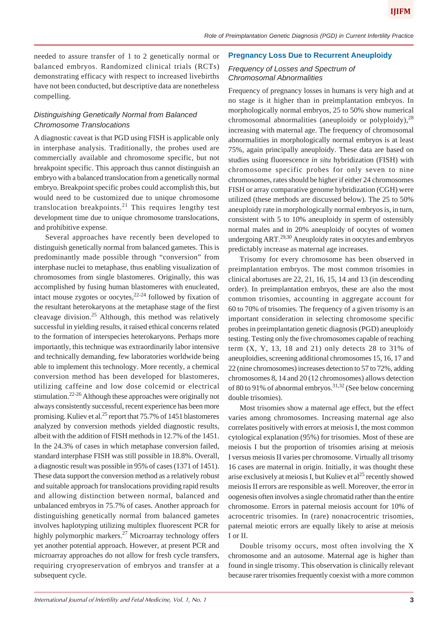needed to assure transfer of 1 to 2 genetically normal or balanced embryos. Randomized clinical trials (RCTs) demonstrating efficacy with respect to increased livebirths have not been conducted, but descriptive data are nonetheless compelling.

# *Distinguishing Genetically Normal from Balanced Chromosome Translocations*

A diagnostic caveat is that PGD using FISH is applicable only in interphase analysis. Traditionally, the probes used are commercially available and chromosome specific, but not breakpoint specific. This approach thus cannot distinguish an embryo with a balanced translocation from a genetically normal embryo. Breakpoint specific probes could accomplish this, but would need to be customized due to unique chromosome translocation breakpoints.<sup>21</sup> This requires lengthy test development time due to unique chromosome translocations, and prohibitive expense.

Several approaches have recently been developed to distinguish genetically normal from balanced gametes. This is predominantly made possible through "conversion" from interphase nuclei to metaphase, thus enabling visualization of chromosomes from single blastomeres. Originally, this was accomplished by fusing human blastomeres with enucleated, intact mouse zygotes or oocytes, $2^{2.24}$  followed by fixation of the resultant heterokaryons at the metaphase stage of the first cleavage division.<sup>25</sup> Although, this method was relatively successful in yielding results, it raised ethical concerns related to the formation of interspecies heterokaryons. Perhaps more importantly, this technique was extraordinarily labor intensive and technically demanding, few laboratories worldwide being able to implement this technology. More recently, a chemical conversion method has been developed for blastomeres, utilizing caffeine and low dose colcemid or electrical stimulation.22-26 Although these approaches were originally not always consistently successful, recent experience has been more promising. Kuliev et al.<sup>25</sup> report that 75.7% of 1451 blastomeres analyzed by conversion methods yielded diagnostic results, albeit with the addition of FISH methods in 12.7% of the 1451. In the 24.3% of cases in which metaphase conversion failed, standard interphase FISH was still possible in 18.8%. Overall, a diagnostic result was possible in 95% of cases (1371 of 1451). These data support the conversion method as a relatively robust and suitable approach for translocations providing rapid results and allowing distinction between normal, balanced and unbalanced embryos in 75.7% of cases. Another approach for distinguishing genetically normal from balanced gametes involves haplotyping utilizing multiplex fluorescent PCR for highly polymorphic markers.<sup>27</sup> Microarray technology offers yet another potential approach. However, at present PCR and microarray approaches do not allow for fresh cycle transfers, requiring cryopreservation of embryos and transfer at a subsequent cycle.

#### **Pregnancy Loss Due to Recurrent Aneuploidy**

#### *Frequency of Losses and Spectrum of Chromosomal Abnormalities*

Frequency of pregnancy losses in humans is very high and at no stage is it higher than in preimplantation embryos. In morphologically normal embryos, 25 to 50% show numerical chromosomal abnormalities (aneuploidy or polyploidy),  $28$ increasing with maternal age. The frequency of chromosomal abnormalities in morphologically normal embryos is at least 75%, again principally aneuploidy. These data are based on studies using fluorescence *in situ* hybridization (FISH) with chromosome specific probes for only seven to nine chromosomes, rates should be higher if either 24 chromosomes FISH or array comparative genome hybridization (CGH) were utilized (these methods are discussed below). The 25 to 50% aneuploidy rate in morphologically normal embryos is, in turn, consistent with 5 to 10% aneuploidy in sperm of ostensibly normal males and in 20% aneuploidy of oocytes of women undergoing ART.<sup>29,30</sup> Aneuploidy rates in oocytes and embryos predictably increase as maternal age increases.

Trisomy for every chromosome has been observed in preimplantation embryos. The most common trisomies in clinical abortuses are 22, 21, 16, 15, 14 and 13 (in descending order). In preimplantation embryos, these are also the most common trisomies, accounting in aggregate account for 60 to 70% of trisomies. The frequency of a given trisomy is an important consideration in selecting chromosome specific probes in preimplantation genetic diagnosis (PGD) aneuploidy testing. Testing only the five chromosomes capable of reaching term  $(X, Y, 13, 18, and 21)$  only detects 28 to 31% of aneuploidies, screening additional chromosomes 15, 16, 17 and 22 (nine chromosomes) increases detection to 57 to 72%, adding chromosomes 8, 14 and 20 (12 chromosomes) allows detection of 80 to 91% of abnormal embryos.<sup>31,32</sup> (See below concerning double trisomies).

Most trisomies show a maternal age effect, but the effect varies among chromosomes. Increasing maternal age also correlates positively with errors at meiosis I, the most common cytological explanation (95%) for trisomies. Most of these are meiosis I but the proportion of trisomies arising at meiosis I versus meiosis II varies per chromosome. Virtually all trisomy 16 cases are maternal in origin. Initially, it was thought these arise exclusively at meiosis I, but Kuliev et  $al^{25}$  recently showed meiosis II errors are responsible as well. Moreover, the error in oogenesis often involves a single chromatid rather than the entire chromosome. Errors in paternal meiosis account for 10% of acrocentric trisomies. In (rare) nonacrocentric trisomies, paternal meiotic errors are equally likely to arise at meiosis I or II.

Double trisomy occurs, most often involving the X chromosome and an autosome. Maternal age is higher than found in single trisomy. This observation is clinically relevant because rarer trisomies frequently coexist with a more common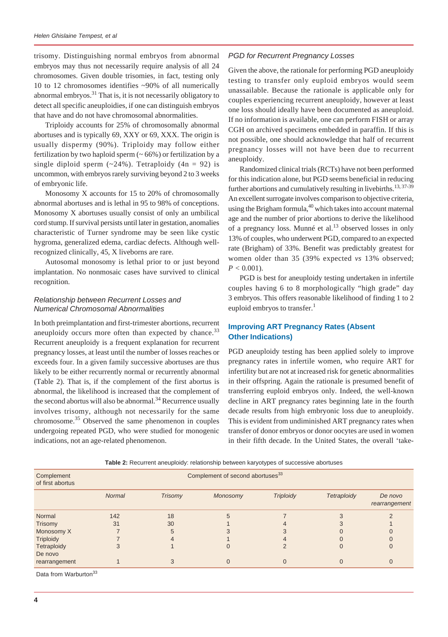trisomy. Distinguishing normal embryos from abnormal embryos may thus not necessarily require analysis of all 24 chromosomes. Given double trisomies, in fact, testing only 10 to 12 chromosomes identifies ~90% of all numerically abnormal embryos. $31$  That is, it is not necessarily obligatory to detect all specific aneuploidies, if one can distinguish embryos that have and do not have chromosomal abnormalities.

Triploidy accounts for 25% of chromosomally abnormal abortuses and is typically 69, XXY or 69, XXX. The origin is usually dispermy (90%). Triploidy may follow either fertilization by two haploid sperm  $($   $\sim$  66%) or fertilization by a single diploid sperm  $(-24%)$ . Tetraploidy  $(4n = 92)$  is uncommon, with embryos rarely surviving beyond 2 to 3 weeks of embryonic life.

Monosomy X accounts for 15 to 20% of chromosomally abnormal abortuses and is lethal in 95 to 98% of conceptions. Monosomy X abortuses usually consist of only an umbilical cord stump. If survival persists until later in gestation, anomalies characteristic of Turner syndrome may be seen like cystic hygroma, generalized edema, cardiac defects. Although wellrecognized clinically, 45, X liveborns are rare.

Autosomal monosomy is lethal prior to or just beyond implantation. No nonmosaic cases have survived to clinical recognition.

## *Relationship between Recurrent Losses and Numerical Chromosomal Abnormalities*

In both preimplantation and first-trimester abortions, recurrent aneuploidy occurs more often than expected by chance.<sup>33</sup> Recurrent aneuploidy is a frequent explanation for recurrent pregnancy losses, at least until the number of losses reaches or exceeds four. In a given family successive abortuses are thus likely to be either recurrently normal or recurrently abnormal (Table 2). That is, if the complement of the first abortus is abnormal, the likelihood is increased that the complement of the second abortus will also be abnormal.<sup>34</sup> Recurrence usually involves trisomy, although not necessarily for the same chromosome.35 Observed the same phenomenon in couples undergoing repeated PGD, who were studied for monogenic indications, not an age-related phenomenon.

## *PGD for Recurrent Pregnancy Losses*

Given the above, the rationale for performing PGD aneuploidy testing to transfer only euploid embryos would seem unassailable. Because the rationale is applicable only for couples experiencing recurrent aneuploidy, however at least one loss should ideally have been documented as aneuploid. If no information is available, one can perform FISH or array CGH on archived specimens embedded in paraffin. If this is not possible, one should acknowledge that half of recurrent pregnancy losses will not have been due to recurrent aneuploidy.

Randomized clinical trials (RCTs) have not been performed for this indication alone, but PGD seems beneficial in reducing further abortions and cumulatively resulting in livebirths.<sup>13, 37-39</sup> An excellent surrogate involves comparison to objective criteria, using the Brigham formula, $40$  which takes into account maternal age and the number of prior abortions to derive the likelihood of a pregnancy loss. Munné et al.<sup>13</sup> observed losses in only 13% of couples, who underwent PGD, compared to an expected rate (Brigham) of 33%. Benefit was predictably greatest for women older than 35 (39% expected *vs* 13% observed;  $P < 0.001$ ).

PGD is best for aneuploidy testing undertaken in infertile couples having 6 to 8 morphologically "high grade" day 3 embryos. This offers reasonable likelihood of finding 1 to 2 euploid embryos to transfer. $<sup>1</sup>$ </sup>

# **Improving ART Pregnancy Rates (Absent Other Indications)**

PGD aneuploidy testing has been applied solely to improve pregnancy rates in infertile women, who require ART for infertility but are not at increased risk for genetic abnormalities in their offspring. Again the rationale is presumed benefit of transferring euploid embryos only. Indeed, the well-known decline in ART pregnancy rates beginning late in the fourth decade results from high embryonic loss due to aneuploidy. This is evident from undiminished ART pregnancy rates when transfer of donor embryos or donor oocytes are used in women in their fifth decade. In the United States, the overall 'take-

**Table 2:** Recurrent aneuploidy: relationship between karyotypes of successive abortuses

| Complement<br>of first abortus |               | Complement of second abortuses <sup>33</sup> |          |                  |             |                          |  |  |
|--------------------------------|---------------|----------------------------------------------|----------|------------------|-------------|--------------------------|--|--|
|                                | <b>Normal</b> | <b>Trisomy</b>                               | Monosomy | <b>Triploidy</b> | Tetraploidy | De novo<br>rearrangement |  |  |
| Normal                         | 142           | 18                                           |          |                  |             |                          |  |  |
| Trisomy                        | 31            | 30                                           |          |                  |             |                          |  |  |
| Monosomy X                     |               | 5                                            |          |                  |             |                          |  |  |
| <b>Triploidy</b>               |               |                                              |          |                  |             |                          |  |  |
| Tetraploidy                    |               |                                              |          |                  |             |                          |  |  |
| De novo                        |               |                                              |          |                  |             |                          |  |  |
| rearrangement                  |               |                                              |          |                  |             |                          |  |  |

Data from Warburton<sup>33</sup>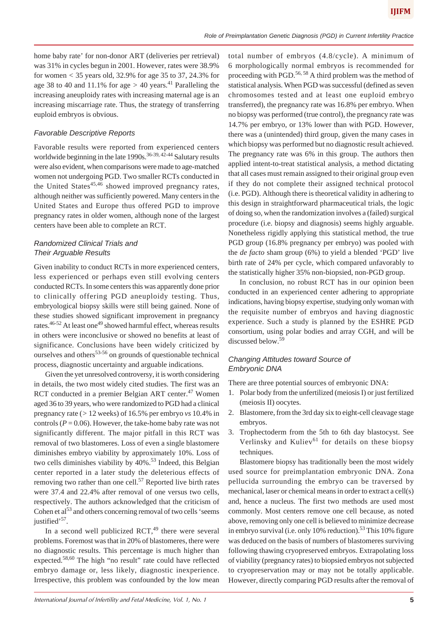home baby rate' for non-donor ART (deliveries per retrieval) was 31% in cycles begun in 2001. However, rates were 38.9% for women *<* 35 years old, 32.9% for age 35 to 37, 24.3% for age 38 to 40 and 11.1% for age  $> 40$  years.<sup>41</sup> Paralleling the increasing aneuploidy rates with increasing maternal age is an increasing miscarriage rate. Thus, the strategy of transferring euploid embryos is obvious.

#### *Favorable Descriptive Reports*

Favorable results were reported from experienced centers worldwide beginning in the late  $1990s$ .<sup>36-39, 42-44</sup> Salutary results were also evident, when comparisons were made to age-matched women not undergoing PGD. Two smaller RCTs conducted in the United States $45,46$  showed improved pregnancy rates, although neither was sufficiently powered. Many centers in the United States and Europe thus offered PGD to improve pregnancy rates in older women, although none of the largest centers have been able to complete an RCT.

#### *Randomized Clinical Trials and Their Arguable Results*

Given inability to conduct RCTs in more experienced centers, less experienced or perhaps even still evolving centers conducted RCTs. In some centers this was apparently done prior to clinically offering PGD aneuploidy testing. Thus, embryological biopsy skills were still being gained. None of these studies showed significant improvement in pregnancy rates.<sup>46-52</sup> At least one<sup>49</sup> showed harmful effect, whereas results in others were inconclusive or showed no benefits at least of significance. Conclusions have been widely criticized by ourselves and others $53-56$  on grounds of questionable technical process, diagnostic uncertainty and arguable indications.

Given the yet unresolved controversy, it is worth considering in details, the two most widely cited studies. The first was an RCT conducted in a premier Belgian ART center.<sup>47</sup> Women aged 36 to 39 years, who were randomized to PGD had a clinical pregnancy rate (*>* 12 weeks) of 16.5% per embryo *vs* 10.4% in controls ( $P = 0.06$ ). However, the take-home baby rate was not significantly different. The major pitfall in this RCT was removal of two blastomeres. Loss of even a single blastomere diminishes embryo viability by approximately 10%. Loss of two cells diminishes viability by 40%.<sup>53</sup> Indeed, this Belgian center reported in a later study the deleterious effects of removing two rather than one cell.<sup>57</sup> Reported live birth rates were 37.4 and 22.4% after removal of one versus two cells, respectively. The authors acknowledged that the criticism of Cohen et  $al<sup>53</sup>$  and others concerning removal of two cells 'seems justified<sup>57</sup>.

In a second well publicized  $RCT<sub>1</sub><sup>49</sup>$  there were several problems. Foremost was that in 20% of blastomeres, there were no diagnostic results. This percentage is much higher than expected.<sup>58,60</sup> The high "no result" rate could have reflected embryo damage or, less likely, diagnostic inexperience. Irrespective, this problem was confounded by the low mean

total number of embryos (4.8/cycle). A minimum of 6 morphologically normal embryos is recommended for proceeding with PGD.<sup>56, 58</sup> A third problem was the method of statistical analysis. When PGD was successful (defined as seven chromosomes tested and at least one euploid embryo transferred), the pregnancy rate was 16.8% per embryo. When no biopsy was performed (true control), the pregnancy rate was 14.7% per embryo, or 13% lower than with PGD. However, there was a (unintended) third group, given the many cases in which biopsy was performed but no diagnostic result achieved. The pregnancy rate was 6% in this group. The authors then applied intent-to-treat statistical analysis, a method dictating that all cases must remain assigned to their original group even if they do not complete their assigned technical protocol (i.e. PGD). Although there is theoretical validity in adhering to this design in straightforward pharmaceutical trials, the logic of doing so, when the randomization involves a (failed) surgical procedure (i.e. biopsy and diagnosis) seems highly arguable. Nonetheless rigidly applying this statistical method, the true PGD group (16.8% pregnancy per embryo) was pooled with the *de facto* sham group (6%) to yield a blended 'PGD' live birth rate of 24% per cycle, which compared unfavorably to the statistically higher 35% non-biopsied, non-PGD group.

In conclusion, no robust RCT has in our opinion been conducted in an experienced center adhering to appropriate indications, having biopsy expertise, studying only woman with the requisite number of embryos and having diagnostic experience. Such a study is planned by the ESHRE PGD consortium, using polar bodies and array CGH, and will be discussed below.<sup>59</sup>

## *Changing Attitudes toward Source of Embryonic DNA*

There are three potential sources of embryonic DNA:

- 1. Polar body from the unfertilized (meiosis I) or just fertilized (meiosis II) oocytes.
- 2. Blastomere, from the 3rd day six to eight-cell cleavage stage embryos.
- 3. Trophectoderm from the 5th to 6th day blastocyst. See Verlinsky and Kuliev $^{61}$  for details on these biopsy techniques.

Blastomere biopsy has traditionally been the most widely used source for preimplantation embryonic DNA. Zona pellucida surrounding the embryo can be traversed by mechanical, laser or chemical means in order to extract a cell(s) and, hence a nucleus. The first two methods are used most commonly. Most centers remove one cell because, as noted above, removing only one cell is believed to minimize decrease in embryo survival (i.e. only 10% reduction).<sup>53</sup> This 10% figure was deduced on the basis of numbers of blastomeres surviving following thawing cryopreserved embryos. Extrapolating loss of viability (pregnancy rates) to biopsied embryos not subjected to cryopreservation may or may not be totally applicable. However, directly comparing PGD results after the removal of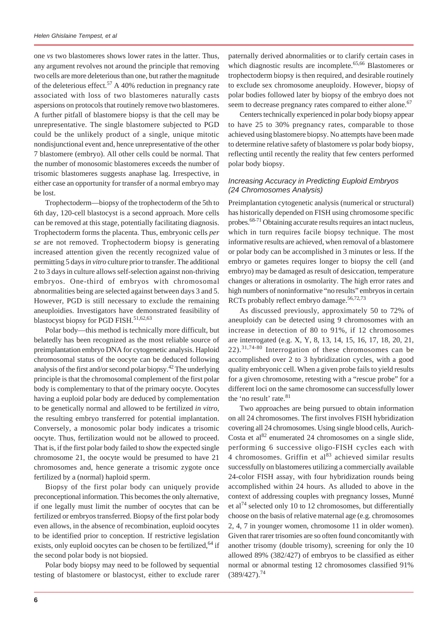one *vs* two blastomeres shows lower rates in the latter. Thus, any argument revolves not around the principle that removing two cells are more deleterious than one, but rather the magnitude of the deleterious effect.<sup>57</sup> A 40% reduction in pregnancy rate associated with loss of two blastomeres naturally casts aspersions on protocols that routinely remove two blastomeres. A further pitfall of blastomere biopsy is that the cell may be unrepresentative. The single blastomere subjected to PGD could be the unlikely product of a single, unique mitotic nondisjunctional event and, hence unrepresentative of the other 7 blastomere (embryo). All other cells could be normal. That the number of monosomic blastomeres exceeds the number of trisomic blastomeres suggests anaphase lag. Irrespective, in either case an opportunity for transfer of a normal embryo may be lost.

Trophectoderm—biopsy of the trophectoderm of the 5th to 6th day, 120-cell blastocyst is a second approach. More cells can be removed at this stage, potentially facilitating diagnosis. Trophectoderm forms the placenta. Thus, embryonic cells *per se* are not removed. Trophectoderm biopsy is generating increased attention given the recently recognized value of permitting 5 days *in vitro* culture prior to transfer. The additional 2 to 3 days in culture allows self-selection against non-thriving embryos. One-third of embryos with chromosomal abnormalities being are selected against between days 3 and 5. However, PGD is still necessary to exclude the remaining aneuploidies. Investigators have demonstrated feasibility of blastocyst biopsy for PGD FISH.<sup>51,62,63</sup>

Polar body—this method is technically more difficult, but belatedly has been recognized as the most reliable source of preimplantation embryo DNA for cytogenetic analysis. Haploid chromosomal status of the oocyte can be deduced following analysis of the first and/or second polar biopsy.42 The underlying principle is that the chromosomal complement of the first polar body is complementary to that of the primary oocyte. Oocytes having a euploid polar body are deduced by complementation to be genetically normal and allowed to be fertilized *in vitro*, the resulting embryo transferred for potential implantation. Conversely, a monosomic polar body indicates a trisomic oocyte. Thus, fertilization would not be allowed to proceed. That is, if the first polar body failed to show the expected single chromosome 21, the oocyte would be presumed to have 21 chromosomes and, hence generate a trisomic zygote once fertilized by a (normal) haploid sperm.

Biopsy of the first polar body can uniquely provide preconceptional information. This becomes the only alternative, if one legally must limit the number of oocytes that can be fertilized or embryos transferred. Biopsy of the first polar body even allows, in the absence of recombination, euploid oocytes to be identified prior to conception. If restrictive legislation exists, only euploid oocytes can be chosen to be fertilized, <sup>64</sup> if the second polar body is not biopsied.

Polar body biopsy may need to be followed by sequential testing of blastomere or blastocyst, either to exclude rarer paternally derived abnormalities or to clarify certain cases in which diagnostic results are incomplete.<sup>65,66</sup> Blastomeres or trophectoderm biopsy is then required, and desirable routinely to exclude sex chromosome aneuploidy. However, biopsy of polar bodies followed later by biopsy of the embryo does not seem to decrease pregnancy rates compared to either alone.<sup>67</sup>

Centers technically experienced in polar body biopsy appear to have 25 to 30% pregnancy rates, comparable to those achieved using blastomere biopsy. No attempts have been made to determine relative safety of blastomere *vs* polar body biopsy, reflecting until recently the reality that few centers performed polar body biopsy.

### *Increasing Accuracy in Predicting Euploid Embryos (24 Chromosomes Analysis)*

Preimplantation cytogenetic analysis (numerical or structural) has historically depended on FISH using chromosome specific probes.<sup>68-71</sup> Obtaining accurate results requires an intact nucleus, which in turn requires facile biopsy technique. The most informative results are achieved, when removal of a blastomere or polar body can be accomplished in 3 minutes or less. If the embryo or gametes requires longer to biopsy the cell (and embryo) may be damaged as result of desiccation, temperature changes or alterations in osmolarity. The high error rates and high numbers of noninformative "no results" embryos in certain RCTs probably reflect embryo damage.<sup>56,72,73</sup>

As discussed previously, approximately 50 to 72% of aneuploidy can be detected using 9 chromosomes with an increase in detection of 80 to 91%, if 12 chromosomes are interrogated (e.g. X, Y, 8, 13, 14, 15, 16, 17, 18, 20, 21, 22).31,74-80 Interrogation of these chromosomes can be accomplished over 2 to 3 hybridization cycles, with a good quality embryonic cell. When a given probe fails to yield results for a given chromosome, retesting with a "rescue probe" for a different loci on the same chromosome can successfully lower the 'no result' rate.<sup>81</sup>

Two approaches are being pursued to obtain information on all 24 chromosomes. The first involves FISH hybridization covering all 24 chromosomes. Using single blood cells, Aurich-Costa et al $^{82}$  enumerated 24 chromosomes on a single slide, performing 6 successive oligo-FISH cycles each with 4 chromosomes. Griffin et  $al^{83}$  achieved similar results successfully on blastomeres utilizing a commercially available 24-color FISH assay, with four hybridization rounds being accomplished within 24 hours. As alluded to above in the context of addressing couples with pregnancy losses, Munné et al<sup>74</sup> selected only 10 to 12 chromosomes, but differentially choose on the basis of relative maternal age (e.g. chromosomes 2, 4, 7 in younger women, chromosome 11 in older women). Given that rarer trisomies are so often found concomitantly with another trisomy (double trisomy), screening for only the 10 allowed 89% (382/427) of embryos to be classified as either normal or abnormal testing 12 chromosomes classified 91%  $(389/427).^{74}$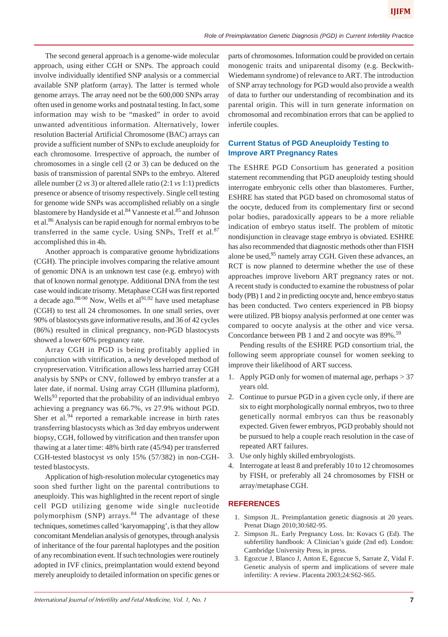The second general approach is a genome-wide molecular approach, using either CGH or SNPs. The approach could involve individually identified SNP analysis or a commercial available SNP platform (array). The latter is termed whole genome arrays. The array need not be the 600,000 SNPs array often used in genome works and postnatal testing. In fact, some information may wish to be "masked" in order to avoid unwanted adventitious information. Alternatively, lower resolution Bacterial Artificial Chromosome (BAC) arrays can provide a sufficient number of SNPs to exclude aneuploidy for each chromosome. Irrespective of approach, the number of chromosomes in a single cell (2 or 3) can be deduced on the basis of transmission of parental SNPs to the embryo. Altered allele number (2 *vs* 3) or altered allele ratio (2:1 *vs* 1:1) predicts presence or absence of trisomy respectively. Single cell testing for genome wide SNPs was accomplished reliably on a single blastomere by Handyside et al.<sup>84</sup> Vanneste et al.<sup>85</sup> and Johnson et al.86 Analysis can be rapid enough for normal embryos to be transferred in the same cycle. Using SNPs, Treff et al.<sup>87</sup> accomplished this in 4h.

Another approach is comparative genome hybridizations (CGH). The principle involves comparing the relative amount of genomic DNA is an unknown test case (e.g. embryo) with that of known normal genotype. Additional DNA from the test case would indicate trisomy. Metaphase CGH was first reported a decade ago.<sup>88-90</sup> Now, Wells et al<sup>91,92</sup> have used metaphase (CGH) to test all 24 chromosomes. In one small series, over 90% of blastocysts gave informative results, and 36 of 42 cycles (86%) resulted in clinical pregnancy, non-PGD blastocysts showed a lower 60% pregnancy rate.

Array CGH in PGD is being profitably applied in conjunction with vitrification, a newly developed method of cryopreservation. Vitrification allows less harried array CGH analysis by SNPs or CNV, followed by embryo transfer at a later date, if normal. Using array CGH (Illumina platform), Wells<sup>93</sup> reported that the probability of an individual embryo achieving a pregnancy was 66.7%, *vs* 27.9% without PGD. Sher et al. $94$  reported a remarkable increase in birth rates transferring blastocysts which as 3rd day embryos underwent biopsy, CGH, followed by vitrification and then transfer upon thawing at a later time: 48% birth rate (45/94) per transferred CGH-tested blastocyst *vs* only 15% (57/382) in non-CGHtested blastocysts.

Application of high-resolution molecular cytogenetics may soon shed further light on the parental contributions to aneuploidy. This was highlighted in the recent report of single cell PGD utilizing genome wide single nucleotide polymorphism  $(SNP)$  arrays.<sup>84</sup> The advantage of these techniques, sometimes called 'karyomapping', is that they allow concomitant Mendelian analysis of genotypes, through analysis of inheritance of the four parental haplotypes and the position of any recombination event. If such technologies were routinely adopted in IVF clinics, preimplantation would extend beyond merely aneuploidy to detailed information on specific genes or

parts of chromosomes. Information could be provided on certain monogenic traits and uniparental disomy (e.g. Beckwith-Wiedemann syndrome) of relevance to ART. The introduction of SNP array technology for PGD would also provide a wealth of data to further our understanding of recombination and its parental origin. This will in turn generate information on chromosomal and recombination errors that can be applied to infertile couples.

# **Current Status of PGD Aneuploidy Testing to Improve ART Pregnancy Rates**

The ESHRE PGD Consortium has generated a position statement recommending that PGD aneuploidy testing should interrogate embryonic cells other than blastomeres. Further, ESHRE has stated that PGD based on chromosomal status of the oocyte, deduced from its complementary first or second polar bodies, paradoxically appears to be a more reliable indication of embryo status itself. The problem of mitotic nondisjunction in cleavage stage embryo is obviated. ESHRE has also recommended that diagnostic methods other than FISH alone be used,<sup>95</sup> namely array CGH. Given these advances, an RCT is now planned to determine whether the use of these approaches improve liveborn ART pregnancy rates or not. A recent study is conducted to examine the robustness of polar body (PB) 1 and 2 in predicting oocyte and, hence embryo status has been conducted. Two centers experienced in PB biopsy were utilized. PB biopsy analysis performed at one center was compared to oocyte analysis at the other and vice versa. Concordance between PB 1 and 2 and oocyte was 89%.<sup>59</sup>

Pending results of the ESHRE PGD consortium trial, the following seem appropriate counsel for women seeking to improve their likelihood of ART success.

- 1. Apply PGD only for women of maternal age, perhaps *>* 37 years old.
- 2. Continue to pursue PGD in a given cycle only, if there are six to eight morphologically normal embryos, two to three genetically normal embryos can thus be reasonably expected. Given fewer embryos, PGD probably should not be pursued to help a couple reach resolution in the case of repeated ART failures.
- 3. Use only highly skilled embryologists.
- 4. Interrogate at least 8 and preferably 10 to 12 chromosomes by FISH, or preferably all 24 chromosomes by FISH or array/metaphase CGH.

## **REFERENCES**

- 1. Simpson JL. Preimplantation genetic diagnosis at 20 years. Prenat Diagn 2010;30:682-95.
- 2. Simpson JL. Early Pregnancy Loss. In: Kovacs G (Ed). The subfertility handbook: A Clinician's guide (2nd ed). London: Cambridge University Press, in press.
- 3. Egozcue J, Blanco J, Anton E, Egozcue S, Sarrate Z, Vidal F. Genetic analysis of sperm and implications of severe male infertility: A review. Placenta 2003;24:S62-S65.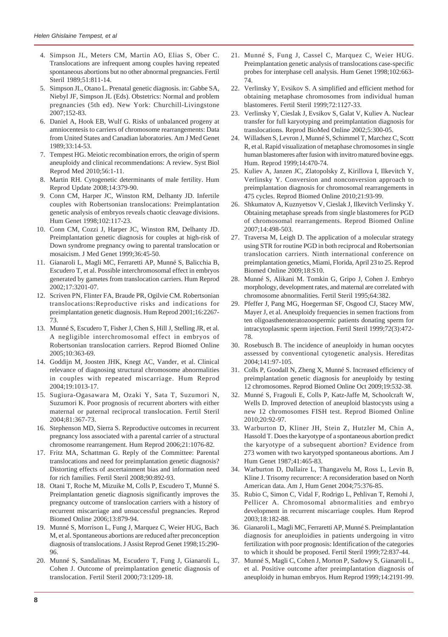- 4. Simpson JL, Meters CM, Martin AO, Elias S, Ober C. Translocations are infrequent among couples having repeated spontaneous abortions but no other abnormal pregnancies. Fertil Steril 1989;51:811-14.
- 5. Simpson JL, Otano L. Prenatal genetic diagnosis. in: Gabbe SA, Niebyl JF, Simpson JL (Eds). Obstetrics: Normal and problem pregnancies (5th ed). New York: Churchill-Livingstone  $2007:152-83$
- 6. Daniel A, Hook EB, Wulf G. Risks of unbalanced progeny at amniocentesis to carriers of chromosome rearrangements: Data from United States and Canadian laboratories. Am J Med Genet 1989;33:14-53.
- 7. Tempest HG. Meiotic recombination errors, the origin of sperm aneuploidy and clinical recommendations: A review. Syst Biol Reprod Med 2010;56:1-11.
- 8. Martin RH. Cytogenetic determinants of male fertility. Hum Reprod Update 2008;14:379-90.
- 9. Conn CM, Harper JC, Winston RM, Delhanty JD. Infertile couples with Robertsonian translocations: Preimplantation genetic analysis of embryos reveals chaotic cleavage divisions. Hum Genet 1998;102:117-23.
- 10. Conn CM, Cozzi J, Harper JC, Winston RM, Delhanty JD. Preimplantation genetic diagnosis for couples at high-risk of Down syndrome pregnancy owing to parental translocation or mosaicism. J Med Genet 1999;36:45-50.
- 11. Gianaroli L, Magli MC, Ferraretti AP, Munné S, Balicchia B, Escudero T, et al. Possible interchromosomal effect in embryos generated by gametes from translocation carriers. Hum Reprod 2002;17:3201-07.
- 12. Scriven PN, Flinter FA, Braude PR, Ogilvie CM. Robertsonian translocations:Reproductive risks and indications for preimplantation genetic diagnosis. Hum Reprod 2001;16:2267- 73.
- 13. Munné S, Escudero T, Fisher J, Chen S, Hill J, Stelling JR, et al. A negligible interchromosomal effect in embryos of Robertsonian translocation carriers. Reprod Biomed Online 2005;10:363-69.
- 14. Goddijn M, Joosten JHK, Knegt AC, Vander, et al. Clinical relevance of diagnosing structural chromosome abnormalities in couples with repeated miscarriage. Hum Reprod 2004;19:1013-17.
- 15. Sugiura-Ogasawara M, Ozaki Y, Sata T, Suzumori N, Suzumori K. Poor prognosis of recurrent aborters with either maternal or paternal reciprocal translocation. Fertil Steril 2004;81:367-73.
- 16. Stephenson MD, Sierra S. Reproductive outcomes in recurrent pregnancy loss associated with a parental carrier of a structural chromosome rearrangement. Hum Reprod 2006;21:1076-82.
- 17. Fritz MA, Schattman G. Reply of the Committee: Parental translocations and need for preimplantation genetic diagnosis? Distorting effects of ascertainment bias and information need for rich families. Fertil Steril 2008;90:892-93.
- 18. Otani T, Roche M, Mizuike M, Colls P, Escudero T, Munné S. Preimplantation genetic diagnosis significantly improves the pregnancy outcome of translocation carriers with a history of recurrent miscarriage and unsuccessful pregnancies. Reprod Biomed Online 2006;13:879-94.
- 19. Munné S, Morrison L, Fung J, Marquez C, Weier HUG, Bach M, et al. Spontaneous abortions are reduced after preconception diagnosis of translocations. J Assist Reprod Genet 1998;15:290- 96.
- 20. Munné S, Sandalinas M, Escudero T, Fung J, Gianaroli L, Cohen J. Outcome of preimplantation genetic diagnosis of translocation. Fertil Steril 2000;73:1209-18.
- 21. Munné S, Fung J, Cassel C, Marquez C, Weier HUG. Preimplantation genetic analysis of translocations case-specific probes for interphase cell analysis. Hum Genet 1998;102:663- 74.
- 22. Verlinsky Y, Evsikov S. A simplified and efficient method for obtaining metaphase chromosomes from individual human blastomeres. Fertil Steril 1999;72:1127-33.
- 23. Verlinsky Y, Cieslak J, Evsikov S, Galat V, Kuliev A. Nuclear transfer for full karyotyping and preimplantation diagnosis for translocations. Reprod BioMed Online 2002;5:300-05.
- 24. Willadsen S, Levron J, Munné S, Schimmel T, Marchez C, Scott R, et al. Rapid visualization of metaphase chromosomes in single human blastomeres after fusion with invitro matured bovine eggs. Hum. Reprod 1999;14:470-74.
- 25. Kuliev A, Janzen JC, Zlatopolsky Z, Kirillova I, Ilkevitch Y, Verlinsky Y. Conversion and nonconversion approach to preimplantation diagnosis for chromosomal rearrangements in 475 cycles. Reprod Biomed Online 2010;21:93-99.
- 26. Shkumatov A, Kuznyetsov V, Cieslak J, Ilkevitch Verlinsky Y. Obtaining metaphase spreads from single blastomeres for PGD of chromosomal rearrangements. Reprod Biomed Online 2007;14:498-503.
- 27. Traversa M, Leigh D. The application of a molecular strategy using STR for routine PGD in both reciprocal and Robertsonian translocation carriers. Ninth international conference on preimplantation genetics, Miami, Florida, April 23 to 25. Reprod Biomed Online 2009;18:S10.
- 28. Munné S, Alikani M. Tomkin G, Gripo J, Cohen J. Embryo morphology, development rates, and maternal are correlated with chromosome abnormalities. Fertil Steril 1995;64:382.
- 29. Pfeffer J, Pang MG, Hoegerman SF, Osgood CJ, Stacey MW, Mayer J, et al. Aneuploidy frequencies in semen fractions from ten oligoasthenoteratozoospermic patients donating sperm for intracytoplasmic sperm injection. Fertil Steril 1999;72(3):472- 78.
- 30. Rosebusch B. The incidence of aneuploidy in human oocytes assessed by conventional cytogenetic analysis. Hereditas 2004;141:97-105.
- 31. Colls P, Goodall N, Zheng X, Munné S. Increased efficiency of preimplantation genetic diagnosis for aneuploidy by testing 12 chromosomes. Reprod Biomed Online Oct 2009;19:532-38.
- 32. Munné S, Fragouli E, Colls P, Katz-Jaffe M, Schoolcraft W, Wells D. Improved detection of aneuploid blastocysts using a new 12 chromosomes FISH test. Reprod Biomed Online 2010;20:92-97.
- 33. Warburton D, Kliner JH, Stein Z, Hutzler M, Chin A, Hassold T. Does the karyotype of a spontaneous abortion predict the karyotype of a subsequent abortion? Evidence from 273 women with two karyotyped spontaneous abortions. Am J Hum Genet 1987;41:465-83.
- 34. Warburton D, Dallaire L, Thangavelu M, Ross L, Levin B, Kline J. Trisomy recurrence: A reconsideration based on North American data. Am J, Hum Genet 2004;75:376-85.
- 35. Rubio C, Simon C, Vidal F, Rodrigo L, Pehlivan T, Remohi J, Pellicer A. Chromosomal abnormalities and embryo development in recurrent miscarriage couples. Hum Reprod 2003;18:182-88.
- 36. Gianaroli L, Magli MC, Ferraretti AP, Munné S. Preimplantation diagnosis for aneuploidies in patients undergoing in vitro fertilization with poor prognosis: Identification of the categories to which it should be proposed. Fertil Steril 1999;72:837-44.
- 37. Munné S, Magli C, Cohen J, Morton P, Sadowy S, Gianaroli L, et al. Positive outcome after preimplantation diagnosis of aneuploidy in human embryos. Hum Reprod 1999*;*14:2191-99.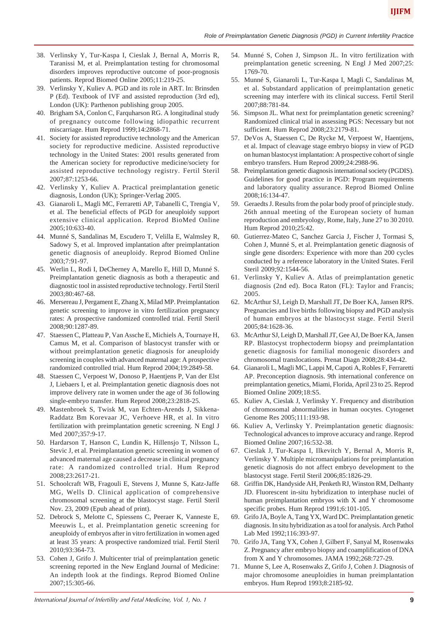- 38. Verlinsky Y, Tur-Kaspa I, Cieslak J, Bernal A, Morris R, Taranissi M, et al. Preimplantation testing for chromosomal disorders improves reproductive outcome of poor-prognosis patients. Reprod Biomed Online 2005;11:219-25.
- 39. Verlinsky Y, Kuliev A. PGD and its role in ART. In: Brinsden P (Ed). Textbook of IVF and assisted reproduction (3rd ed), London (UK): Parthenon publishing group 2005.
- 40. Brigham SA, Conlon C, Farquharson RG. A longitudinal study of pregnancy outcome following idiopathic recurrent miscarriage. Hum Reprod 1999;14:2868-71.
- 41. Society for assisted reproductive technology and the American society for reproductive medicine. Assisted reproductive technology in the United States: 2001 results generated from the American society for reproductive medicine/society for assisted reproductive technology registry. Fertil Steril 2007;87:1253-66.
- 42. Verlinsky Y, Kuliev A. Practical preimplantation genetic diagnosis, London (UK); Springer-Verlag 2005.
- 43. Gianaroli L, Magli MC, Ferraretti AP, Tabanelli C, Trengia V, et al. The beneficial effects of PGD for aneuploidy support extensive clinical application. Reprod BioMed Online 2005;10:633-40.
- 44. Munné S, Sandalinas M, Escudero T, Velilla E, Walmsley R, Sadowy S, et al. Improved implantation after preimplantation genetic diagnosis of aneuploidy. Reprod Biomed Online 2003;7:91-97.
- 45. Werlin L, Rodi I, DeCherney A, Marello E, Hill D, Munné S. Preimplantation genetic diagnosis as both a therapeutic and diagnostic tool in assisted reproductive technology. Fertil Steril 2003;80:467-68.
- 46. Mersereau J, Pergament E, Zhang X, Milad MP. Preimplantation genetic screening to improve in vitro fertilization pregnancy rates: A prospective randomized controlled trial. Fertil Steril 2008;90:1287-89.
- 47. Staessen C, Platteau P, Van Assche E, Michiels A, Tournaye H, Camus M, et al. Comparison of blastocyst transfer with or without preimplantation genetic diagnosis for aneuploidy screening in couples with advanced maternal age: A prospective randomized controlled trial. Hum Reprod 2004;19:2849-58.
- 48. Staessen C, Verpoest W, Donoso P, Haentjens P, Van der Elst J, Liebaers I, et al. Preimplantation genetic diagnosis does not improve delivery rate in women under the age of 36 following single-embryo transfer. Hum Reprod 2008;23:2818-25.
- 49. Mastenbroek S, Twisk M, van Echten-Arends J, Sikkena-Raddatz Bm Korevaar JC, Verhoeve HR, et al. In vitro fertilization with preimplantation genetic screening. N Engl J Med 2007;357:9-17.
- 50. Hardarson T, Hanson C, Lundin K, Hillensjo T, Nilsson L, Stevic J, et al. Preimplantation genetic screening in women of advanced maternal age caused a decrease in clinical pregnancy rate: A randomized controlled trial. Hum Reprod 2008;23:2617-21.
- 51. Schoolcraft WB, Fragouli E, Stevens J, Munne S, Katz-Jaffe MG, Wells D. Clinical application of comprehensive chromosomal screening at the blastocyst stage. Fertil Steril Nov. 23, 2009 (Epub ahead of print).
- 52. Debrock S, Melotte C, Spiessens C, Peeraer K, Vanneste E, Meeuwis L, et al. Preimplantation genetic screening for aneuploidy of embryos after in vitro fertilization in women aged at least 35 years: A prospective randomized trial. Fertil Steril 2010;93:364-73.
- 53. Cohen J, Grifo J. Multicenter trial of preimplantation genetic screening reported in the New England Journal of Medicine: An indepth look at the findings. Reprod Biomed Online 2007;15:305-66.
- 54. Munné S, Cohen J, Simpson JL. In vitro fertilization with preimplantation genetic screening. N Engl J Med 2007;25: 1769-70.
- 55. Munné S, Gianaroli L, Tur-Kaspa I, Magli C, Sandalinas M, et al. Substandard application of preimplantation genetic screening may interfere with its clinical success. Fertil Steril 2007;88:781-84.
- 56. Simpson JL. What next for preimplantation genetic screening? Randomized clinical trial in assessing PGS: Necessary but not sufficient. Hum Reprod 2008;23:2179-81.
- 57. DeVos A, Staessen C, De Rycke M, Verpoest W, Haentjens, et al. Impact of cleavage stage embryo biopsy in view of PGD on human blastocyst implantation: A prospective cohort of single embryo transfers. Hum Reprod 2009;24:2988-96.
- 58. Preimplantation genetic diagnosis international society (PGDIS). Guidelines for good practice in PGD: Program requirements and laboratory quality assurance. Reprod Biomed Online 2008;16:134-47.
- 59. Geraedts J. Results from the polar body proof of principle study. 26th annual meeting of the European society of human reproduction and embryology, Rome, Italy, June 27 to 30 2010. Hum Reprod 2010;25:42.
- 60. Gutierrez-Mateo C, Sanchez Garcia J, Fischer J, Tormasi S, Cohen J, Munné S, et al. Preimplantation genetic diagnosis of single gene disorders: Experience with more than 200 cycles conducted by a reference laboratory in the United States. Feril Steril 2009;92:1544-56.
- 61. Verlinsky Y, Kuliev A. Atlas of preimplantation genetic diagnosis (2nd ed). Boca Raton (FL): Taylor and Francis; 2005.
- 62. McArthur SJ, Leigh D, Marshall JT, De Boer KA, Jansen RPS. Pregnancies and live births following biopsy and PGD analysis of human embryos at the blastocyst stage. Fertil Steril 2005*;*84:1628-36.
- 63. McArthur SJ, Leigh D, Marshall JT, Gee AJ, De Boer KA, Jansen RP. Blastocyst trophectoderm biopsy and preimplantation genetic diagnosis for familial monogenic disorders and chromosomal translocations. Prenat Diagn 2008;28:434-42.
- 64. Gianaroli L, Magli MC, Lappi M, Capoti A, Robles F, Ferraretti AP. Preconception diagnosis. 9th international conference on preimplantation genetics, Miami, Florida, April 23 to 25. Reprod Biomed Online 2009;18:S5.
- 65. Kuliev A, Cieslak J, Verlinsky Y. Frequency and distribution of chromosomal abnormalities in human oocytes. Cytogenet Genome Res 2005;111:193-98.
- 66. Kuliev A, Verlinsky Y. Preimplantation genetic diagnosis: Technological advances to improve accuracy and range. Reprod Biomed Online 2007;16:532-38.
- 67. Cieslak J, Tur-Kaspa I, Ilkevitch Y, Bernal A, Morris R, Verlinsky Y. Multiple micromanipulations for preimplantation genetic diagnosis do not affect embryo development to the blastocyst stage. Fertil Steril 2006;85:1826-29.
- 68. Griffin DK, Handyside AH, Penketh RJ, Winston RM, Delhanty JD. Fluorescent in-situ hybridization to interphase nuclei of human preimplantation embryos with X and Y chromosome specific probes. Hum Reprod 1991;6:101-105.
- 69. Grifo JA, Boyle A, Tang YX, Ward DC. Preimplantation genetic diagnosis. In situ hybridization as a tool for analysis. Arch Pathol Lab Med 1992;116:393-97.
- 70. Grifo JA, Tang YX, Cohen J, Gilbert F, Sanyal M, Rosenwaks Z. Pregnancy after embryo biopsy and coamplification of DNA from X and Y chromosomes. JAMA 1992;268:727-29.
- 71. Munne S, Lee A, Rosenwaks Z, Grifo J, Cohen J. Diagnosis of major chromosome aneuploidies in human preimplantation embryos. Hum Reprod 1993;8:2185-92.

*International Journal of Infertility and Fetal Medicine, Vol. 1, No. 1* **9**